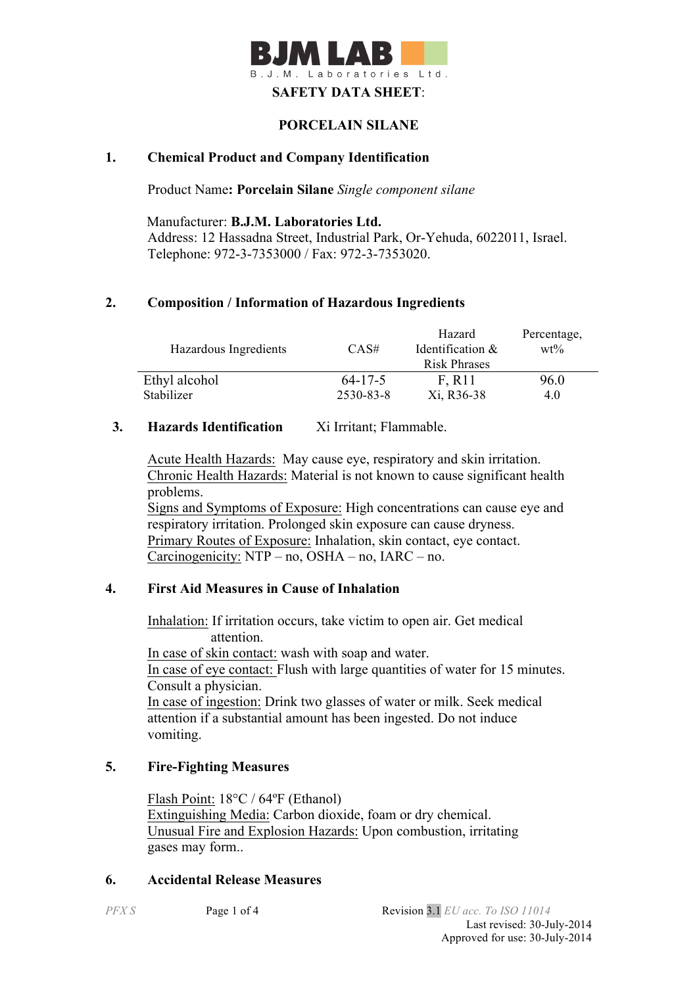

### **PORCELAIN SILANE**

## **1. Chemical Product and Company Identification**

Product Name**: Porcelain Silane** *Single component silane*

Manufacturer: **B.J.M. Laboratories Ltd.** Address: 12 Hassadna Street, Industrial Park, Or-Yehuda, 6022011, Israel. Telephone: 972-3-7353000 / Fax: 972-3-7353020.

### **2. Composition / Information of Hazardous Ingredients**

| Hazardous Ingredients | CAS#          | Hazard<br>Identification & | Percentage,<br>$wt\%$ |
|-----------------------|---------------|----------------------------|-----------------------|
|                       |               | <b>Risk Phrases</b>        |                       |
| Ethyl alcohol         | $64 - 17 - 5$ | F. R <sub>11</sub>         | 96.0                  |
| Stabilizer            | 2530-83-8     | Xi, R36-38                 | 4.0                   |

### **3. Hazards Identification** Xi Irritant; Flammable.

Acute Health Hazards: May cause eye, respiratory and skin irritation. Chronic Health Hazards: Material is not known to cause significant health problems.

Signs and Symptoms of Exposure: High concentrations can cause eye and respiratory irritation. Prolonged skin exposure can cause dryness. Primary Routes of Exposure: Inhalation, skin contact, eye contact. Carcinogenicity: NTP – no, OSHA – no, IARC – no.

### **4. First Aid Measures in Cause of Inhalation**

 Inhalation: If irritation occurs, take victim to open air. Get medical attention. In case of skin contact: wash with soap and water. In case of eye contact: Flush with large quantities of water for 15 minutes. Consult a physician. In case of ingestion: Drink two glasses of water or milk. Seek medical attention if a substantial amount has been ingested. Do not induce vomiting.

## **5. Fire-Fighting Measures**

Flash Point: 18°C / 64ºF (Ethanol) Extinguishing Media: Carbon dioxide, foam or dry chemical. Unusual Fire and Explosion Hazards: Upon combustion, irritating gases may form..

### **6. Accidental Release Measures**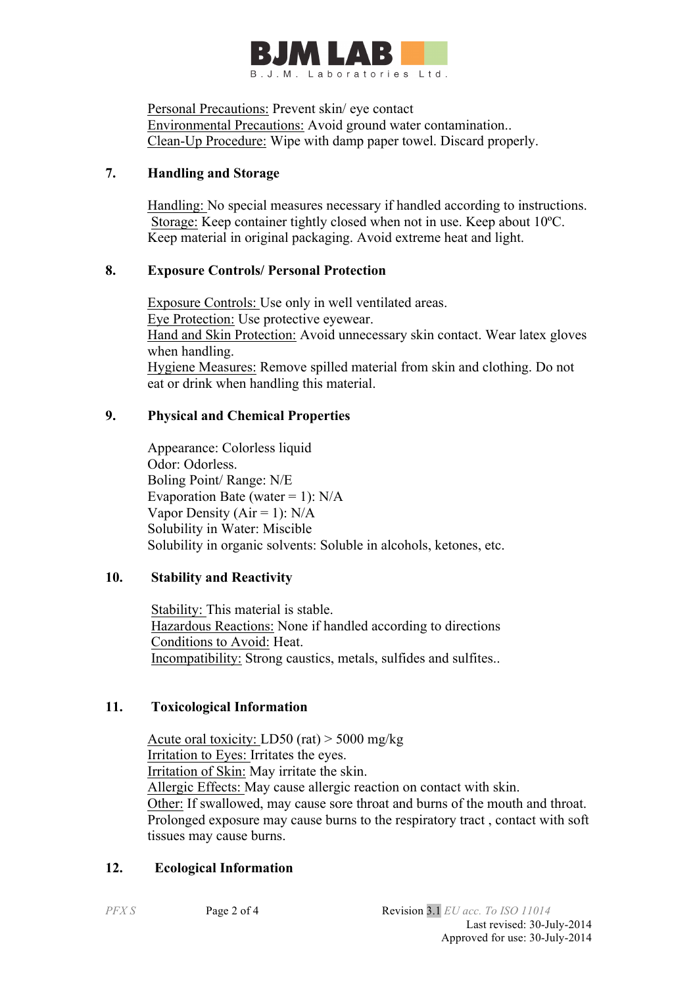

Personal Precautions: Prevent skin/ eye contact Environmental Precautions: Avoid ground water contamination.. Clean-Up Procedure: Wipe with damp paper towel. Discard properly.

## **7. Handling and Storage**

 Handling: No special measures necessary if handled according to instructions. Storage: Keep container tightly closed when not in use. Keep about 10ºC. Keep material in original packaging. Avoid extreme heat and light.

## **8. Exposure Controls/ Personal Protection**

 Exposure Controls: Use only in well ventilated areas. Eye Protection: Use protective eyewear. Hand and Skin Protection: Avoid unnecessary skin contact. Wear latex gloves when handling. Hygiene Measures: Remove spilled material from skin and clothing. Do not eat or drink when handling this material.

# **9. Physical and Chemical Properties**

Appearance: Colorless liquid Odor: Odorless. Boling Point/ Range: N/E Evaporation Bate (water = 1):  $N/A$ Vapor Density ( $Air = 1$ ):  $N/A$ Solubility in Water: Miscible Solubility in organic solvents: Soluble in alcohols, ketones, etc.

# **10. Stability and Reactivity**

 Stability: This material is stable. Hazardous Reactions: None if handled according to directions Conditions to Avoid: Heat. Incompatibility: Strong caustics, metals, sulfides and sulfites..

## **11. Toxicological Information**

Acute oral toxicity: LD50 (rat)  $>$  5000 mg/kg Irritation to Eyes: Irritates the eyes. Irritation of Skin: May irritate the skin. Allergic Effects: May cause allergic reaction on contact with skin. Other: If swallowed, may cause sore throat and burns of the mouth and throat. Prolonged exposure may cause burns to the respiratory tract , contact with soft tissues may cause burns.

# **12. Ecological Information**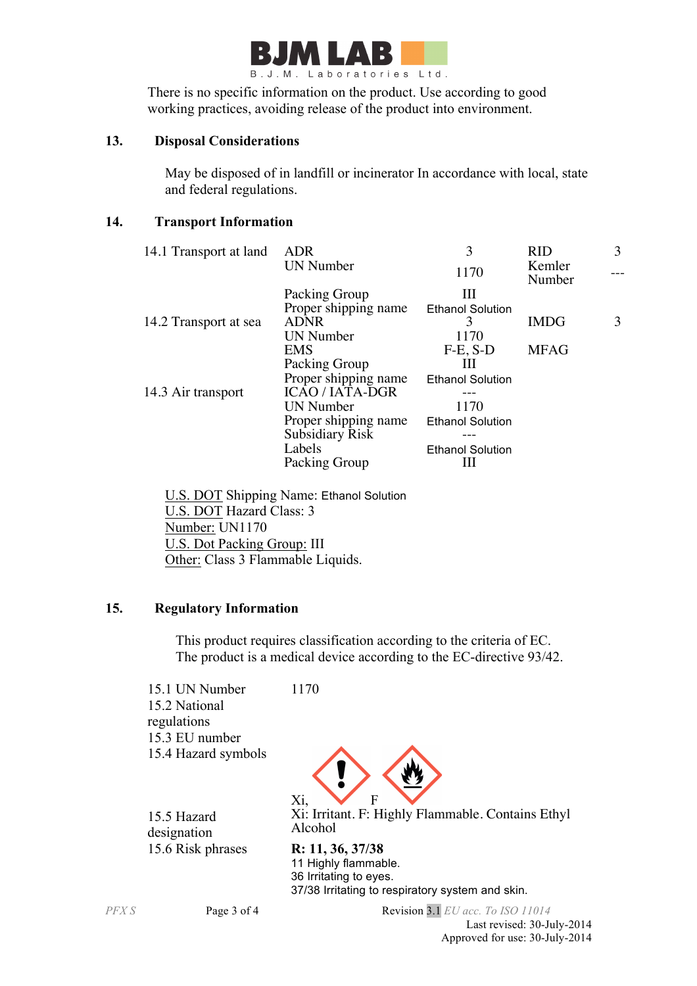

There is no specific information on the product. Use according to good working practices, avoiding release of the product into environment.

### **13. Disposal Considerations**

 May be disposed of in landfill or incinerator In accordance with local, state and federal regulations.

## **14. Transport Information**

| 14.1 Transport at land | <b>ADR</b>             | 3                       | <b>RID</b>       | 3 |
|------------------------|------------------------|-------------------------|------------------|---|
|                        | <b>UN Number</b>       | 1170                    | Kemler<br>Number |   |
|                        | Packing Group          | Ш                       |                  |   |
|                        | Proper shipping name   | <b>Ethanol Solution</b> |                  |   |
| 14.2 Transport at sea  | <b>ADNR</b>            | 3                       | <b>IMDG</b>      | 3 |
|                        | <b>UN Number</b>       | 1170                    |                  |   |
|                        | <b>EMS</b>             | $F-E$ , $S-D$           | <b>MFAG</b>      |   |
|                        | Packing Group          | Ш                       |                  |   |
|                        | Proper shipping name   | <b>Ethanol Solution</b> |                  |   |
| 14.3 Air transport     | <b>ICAO/IATA-DGR</b>   |                         |                  |   |
|                        | <b>UN Number</b>       | 1170                    |                  |   |
|                        | Proper shipping name   | <b>Ethanol Solution</b> |                  |   |
|                        | <b>Subsidiary Risk</b> |                         |                  |   |
|                        | Labels                 | <b>Ethanol Solution</b> |                  |   |
|                        | Packing Group          |                         |                  |   |
|                        |                        |                         |                  |   |

 U.S. DOT Shipping Name: Ethanol Solution U.S. DOT Hazard Class: 3 Number: UN1170 U.S. Dot Packing Group: III Other: Class 3 Flammable Liquids.

## **15. Regulatory Information**

This product requires classification according to the criteria of EC. The product is a medical device according to the EC-directive 93/42.

15.1 UN Number 1170 15.2 National regulations 15.3 EU number 15.4 Hazard symbols



15.5 Hazard designation 15.6 Risk phrases **R: 11, 36, 37/38**

Xi: Irritant. F: Highly Flammable. Contains Ethyl Alcohol

11 Highly flammable. 36 Irritating to eyes. 37/38 Irritating to respiratory system and skin.